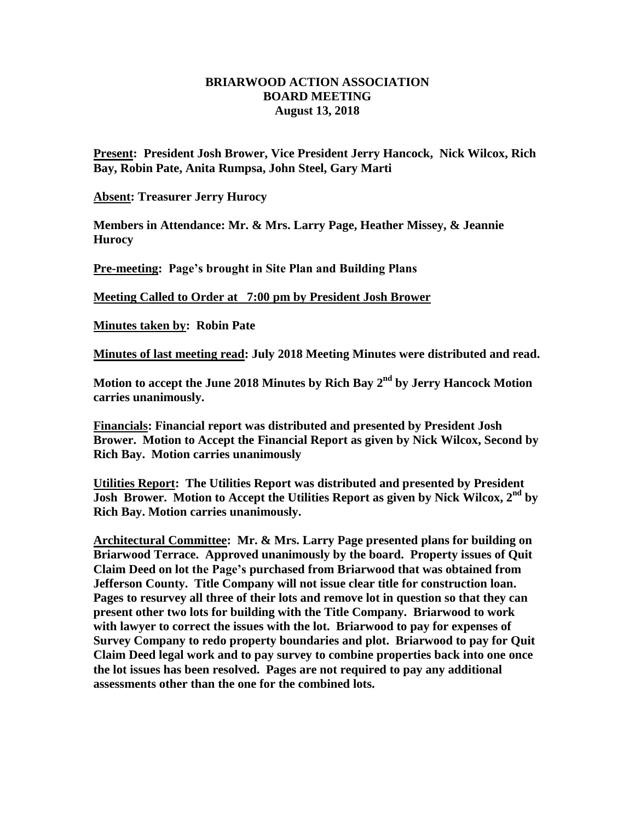## **BRIARWOOD ACTION ASSOCIATION BOARD MEETING August 13, 2018**

**Present: President Josh Brower, Vice President Jerry Hancock, Nick Wilcox, Rich Bay, Robin Pate, Anita Rumpsa, John Steel, Gary Marti**

**Absent: Treasurer Jerry Hurocy**

**Members in Attendance: Mr. & Mrs. Larry Page, Heather Missey, & Jeannie Hurocy**

**Pre-meeting: Page's brought in Site Plan and Building Plans**

**Meeting Called to Order at 7:00 pm by President Josh Brower**

**Minutes taken by: Robin Pate**

**Minutes of last meeting read: July 2018 Meeting Minutes were distributed and read.** 

**Motion to accept the June 2018 Minutes by Rich Bay 2 nd by Jerry Hancock Motion carries unanimously.**

**Financials: Financial report was distributed and presented by President Josh Brower. Motion to Accept the Financial Report as given by Nick Wilcox, Second by Rich Bay. Motion carries unanimously** 

**Utilities Report: The Utilities Report was distributed and presented by President Josh Brower. Motion to Accept the Utilities Report as given by Nick Wilcox, 2nd by Rich Bay. Motion carries unanimously.**

**Architectural Committee: Mr. & Mrs. Larry Page presented plans for building on Briarwood Terrace. Approved unanimously by the board. Property issues of Quit Claim Deed on lot the Page's purchased from Briarwood that was obtained from Jefferson County. Title Company will not issue clear title for construction loan. Pages to resurvey all three of their lots and remove lot in question so that they can present other two lots for building with the Title Company. Briarwood to work with lawyer to correct the issues with the lot. Briarwood to pay for expenses of Survey Company to redo property boundaries and plot. Briarwood to pay for Quit Claim Deed legal work and to pay survey to combine properties back into one once the lot issues has been resolved. Pages are not required to pay any additional assessments other than the one for the combined lots.**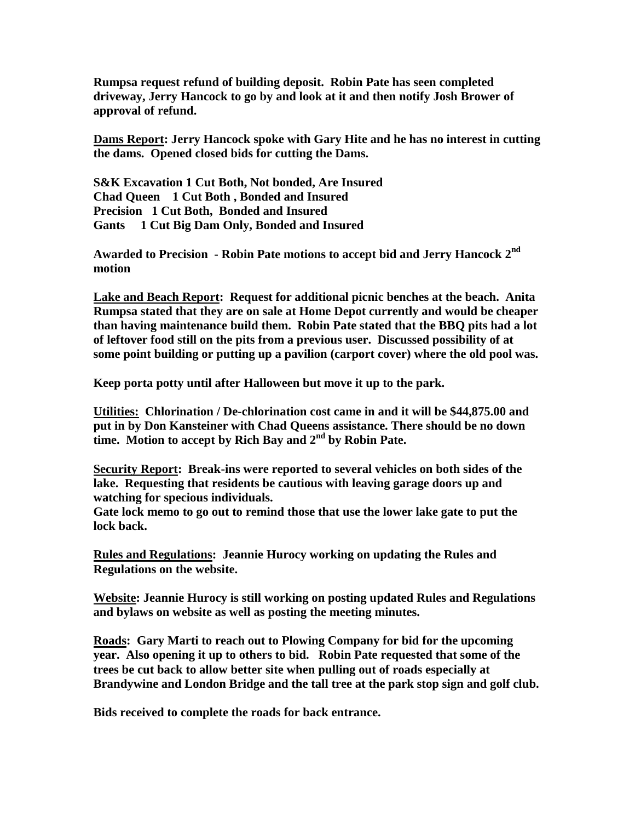**Rumpsa request refund of building deposit. Robin Pate has seen completed driveway, Jerry Hancock to go by and look at it and then notify Josh Brower of approval of refund.**

**Dams Report: Jerry Hancock spoke with Gary Hite and he has no interest in cutting the dams. Opened closed bids for cutting the Dams.**

**S&K Excavation 1 Cut Both, Not bonded, Are Insured Chad Queen 1 Cut Both , Bonded and Insured Precision 1 Cut Both, Bonded and Insured Gants 1 Cut Big Dam Only, Bonded and Insured**

**Awarded to Precision - Robin Pate motions to accept bid and Jerry Hancock 2nd motion**

**Lake and Beach Report: Request for additional picnic benches at the beach. Anita Rumpsa stated that they are on sale at Home Depot currently and would be cheaper than having maintenance build them. Robin Pate stated that the BBQ pits had a lot of leftover food still on the pits from a previous user. Discussed possibility of at some point building or putting up a pavilion (carport cover) where the old pool was.**

**Keep porta potty until after Halloween but move it up to the park.**

**Utilities: Chlorination / De-chlorination cost came in and it will be \$44,875.00 and put in by Don Kansteiner with Chad Queens assistance. There should be no down time. Motion to accept by Rich Bay and 2nd by Robin Pate.**

**Security Report: Break-ins were reported to several vehicles on both sides of the lake. Requesting that residents be cautious with leaving garage doors up and watching for specious individuals.** 

**Gate lock memo to go out to remind those that use the lower lake gate to put the lock back.** 

**Rules and Regulations: Jeannie Hurocy working on updating the Rules and Regulations on the website.**

**Website: Jeannie Hurocy is still working on posting updated Rules and Regulations and bylaws on website as well as posting the meeting minutes.**

**Roads: Gary Marti to reach out to Plowing Company for bid for the upcoming year. Also opening it up to others to bid. Robin Pate requested that some of the trees be cut back to allow better site when pulling out of roads especially at Brandywine and London Bridge and the tall tree at the park stop sign and golf club.** 

**Bids received to complete the roads for back entrance.**